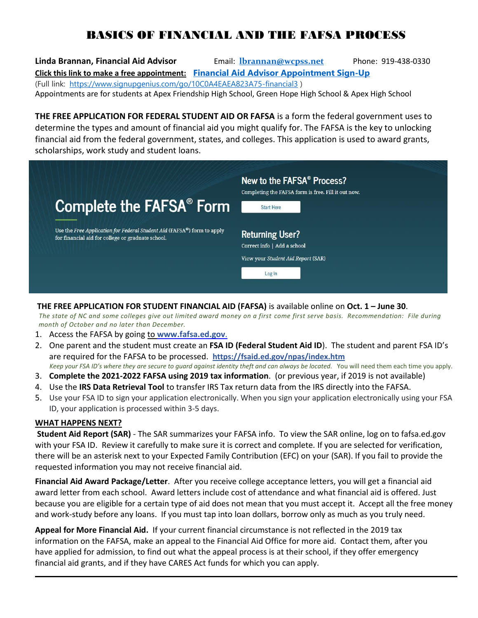## BASICS OF FINANCIAL AND THE FAFSA PROCESS

**Linda Brannan, Financial Aid Advisor** Email: **lbrannan@wcpss.net** Phone: 919-438-0330 **Click this link to make a free appointment: Financial Aid Advisor Appointment Sign-Up** (Full link: https://www.signupgenius.com/go/10C0A4EAEA823A75-financial3 ) Appointments are for students at Apex Friendship High School, Green Hope High School & Apex High School

**THE FREE APPLICATION FOR FEDERAL STUDENT AID OR FAFSA** is a form the federal government uses to determine the types and amount of financial aid you might qualify for. The FAFSA is the key to unlocking financial aid from the federal government, states, and colleges. This application is used to award grants, scholarships, work study and student loans.



## **THE FREE APPLICATION FOR STUDENT FINANCIAL AID (FAFSA)** is available online on **Oct. 1 – June 30**.

 *The state of NC and some colleges give out limited award money on a first come first serve basis. Recommendation: File during month of October and no later than December.*

- 1. Access the FAFSA by going to **www.fafsa.ed.gov**.
- 2. One parent and the student must create an **FSA ID (Federal Student Aid ID**). The student and parent FSA ID's are required for the FAFSA to be processed. **https://fsaid.ed.gov/npas/index.htm**
- *Keep your FSA ID's where they are secure to guard against identity theft and can always be located.* You will need them each time you apply.
- 3. **Complete the 2021-2022 FAFSA using 2019 tax information**. (or previous year, if 2019 is not available)
- 4. Use the **IRS Data Retrieval Tool** to transfer IRS Tax return data from the IRS directly into the FAFSA.
- 5. Use your FSA ID to sign your application electronically. When you sign your application electronically using your FSA ID, your application is processed within 3-5 days.

## **WHAT HAPPENS NEXT?**

**Student Aid Report (SAR)** - The SAR summarizes your FAFSA info. To view the SAR online, log on to fafsa.ed.gov with your FSA ID. Review it carefully to make sure it is correct and complete*.* If you are selected for verification, there will be an asterisk next to your Expected Family Contribution (EFC) on your (SAR). If you fail to provide the requested information you may not receive financial aid.

**Financial Aid Award Package/Letter**. After you receive college acceptance letters, you will get a financial aid award letter from each school. Award letters include cost of attendance and what financial aid is offered. Just because you are eligible for a certain type of aid does not mean that you must accept it. Accept all the free money and work-study before any loans. If you must tap into loan dollars, borrow only as much as you truly need.

**Appeal for More Financial Aid.** If your current financial circumstance is not reflected in the 2019 tax information on the FAFSA, make an appeal to the Financial Aid Office for more aid. Contact them, after you have applied for admission, to find out what the appeal process is at their school, if they offer emergency financial aid grants, and if they have CARES Act funds for which you can apply.